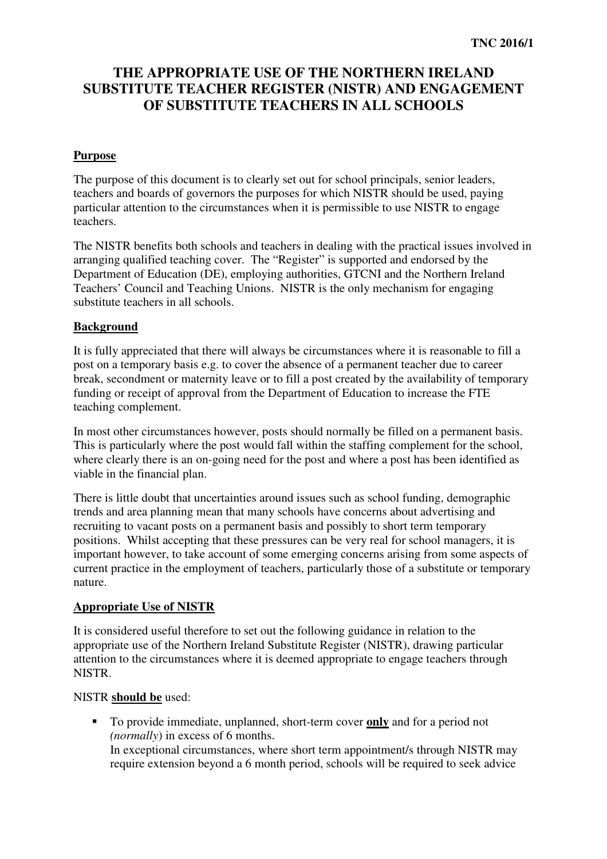# **THE APPROPRIATE USE OF THE NORTHERN IRELAND SUBSTITUTE TEACHER REGISTER (NISTR) AND ENGAGEMENT OF SUBSTITUTE TEACHERS IN ALL SCHOOLS**

## **Purpose**

 The purpose of this document is to clearly set out for school principals, senior leaders, teachers and boards of governors the purposes for which NISTR should be used, paying particular attention to the circumstances when it is permissible to use NISTR to engage teachers.

 The NISTR benefits both schools and teachers in dealing with the practical issues involved in arranging qualified teaching cover. The "Register" is supported and endorsed by the Department of Education (DE), employing authorities, GTCNI and the Northern Ireland Teachers' Council and Teaching Unions. NISTR is the only mechanism for engaging substitute teachers in all schools.

# **Background**

 It is fully appreciated that there will always be circumstances where it is reasonable to fill a post on a temporary basis e.g. to cover the absence of a permanent teacher due to career break, secondment or maternity leave or to fill a post created by the availability of temporary funding or receipt of approval from the Department of Education to increase the FTE teaching complement.

 In most other circumstances however, posts should normally be filled on a permanent basis. This is particularly where the post would fall within the staffing complement for the school, where clearly there is an on-going need for the post and where a post has been identified as viable in the financial plan.

 There is little doubt that uncertainties around issues such as school funding, demographic trends and area planning mean that many schools have concerns about advertising and recruiting to vacant posts on a permanent basis and possibly to short term temporary positions. Whilst accepting that these pressures can be very real for school managers, it is important however, to take account of some emerging concerns arising from some aspects of current practice in the employment of teachers, particularly those of a substitute or temporary nature.

#### **Appropriate Use of NISTR**

 It is considered useful therefore to set out the following guidance in relation to the appropriate use of the Northern Ireland Substitute Register (NISTR), drawing particular attention to the circumstances where it is deemed appropriate to engage teachers through NISTR.

## NISTR **should be** used:

 • To provide immediate, unplanned, short-term cover **only** and for a period not *(normally*) in excess of 6 months. In exceptional circumstances, where short term appointment/s through NISTR may require extension beyond a 6 month period, schools will be required to seek advice